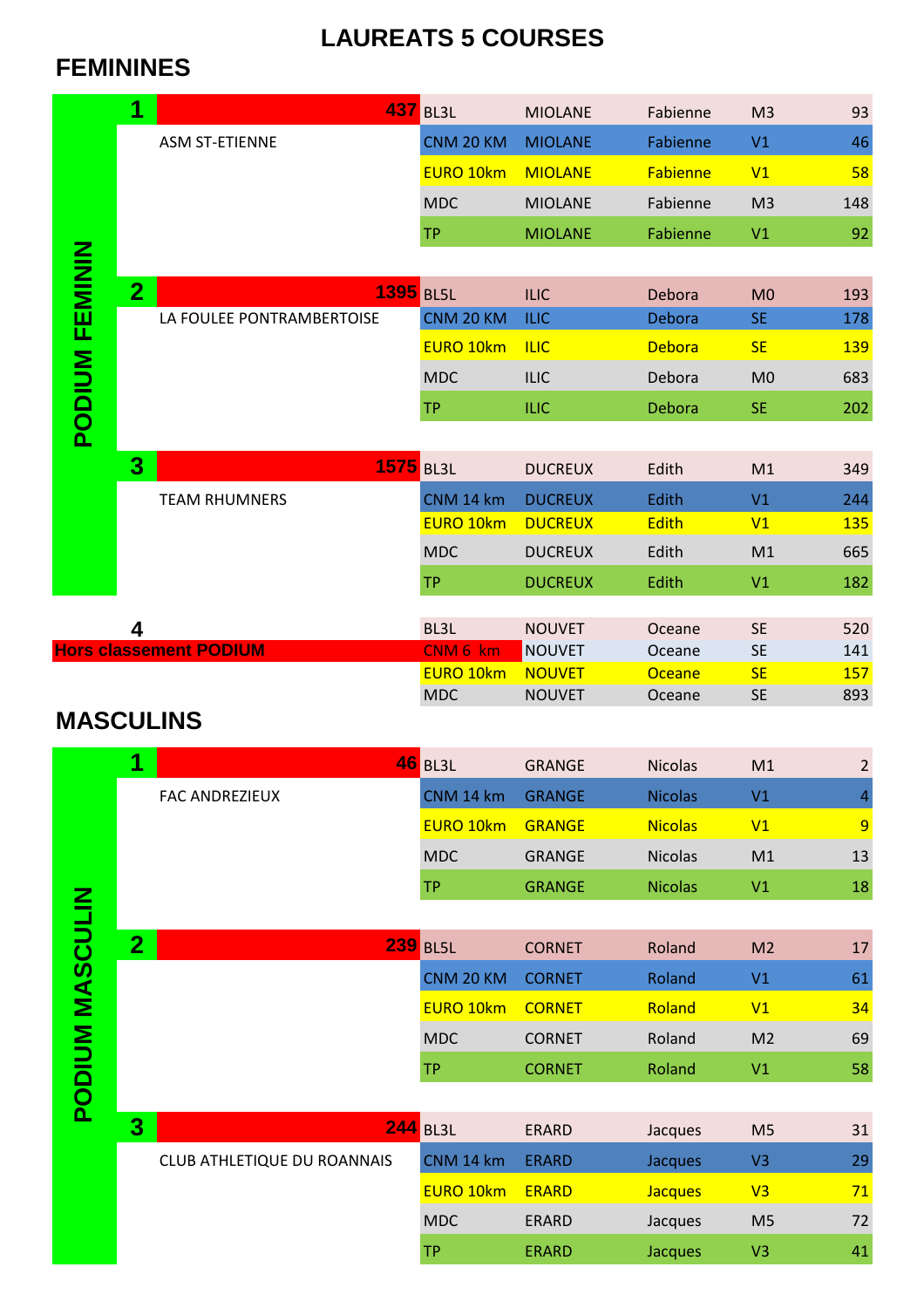## **LAUREATS 5 COURSES**

## **FEMININES**

|                        | 1              |                               | <b>437 BL3L</b>  | <b>MIOLANE</b>        | Fabienne       | M <sub>3</sub>                   | 93             |
|------------------------|----------------|-------------------------------|------------------|-----------------------|----------------|----------------------------------|----------------|
|                        |                | <b>ASM ST-ETIENNE</b>         | CNM 20 KM        | <b>MIOLANE</b>        | Fabienne       | V1                               | 46             |
|                        |                |                               | <b>EURO 10km</b> | <b>MIOLANE</b>        | Fabienne       | V1                               | 58             |
|                        |                |                               | <b>MDC</b>       | <b>MIOLANE</b>        | Fabienne       | M <sub>3</sub>                   | 148            |
|                        |                |                               | <b>TP</b>        | <b>MIOLANE</b>        | Fabienne       | V1                               | 92             |
|                        |                |                               |                  |                       |                |                                  |                |
|                        | $\overline{2}$ | <b>1395 BL5L</b>              |                  | <b>ILIC</b>           | Debora         | M <sub>0</sub>                   | 193            |
|                        |                | LA FOULEE PONTRAMBERTOISE     | CNM 20 KM        | <b>ILIC</b>           | Debora         | <b>SE</b>                        | 178            |
|                        |                |                               | <b>EURO 10km</b> | <b>ILIC</b>           | <b>Debora</b>  | <b>SE</b>                        | <b>139</b>     |
|                        |                |                               | <b>MDC</b>       | <b>ILIC</b>           | Debora         | M <sub>0</sub>                   | 683            |
|                        |                |                               | <b>TP</b>        | <b>ILIC</b>           | Debora         | <b>SE</b>                        | 202            |
| PODIUM FEMININ         |                |                               |                  |                       |                |                                  |                |
|                        | 3              |                               |                  |                       |                |                                  |                |
|                        |                | <b>1575</b> BL3L              |                  | <b>DUCREUX</b>        | Edith          | M1                               | 349            |
|                        |                | <b>TEAM RHUMNERS</b>          | CNM 14 km        | <b>DUCREUX</b>        | Edith          | V1                               | 244            |
|                        |                |                               | <b>EURO 10km</b> | <b>DUCREUX</b>        | <b>Edith</b>   | V1                               | <u>135</u>     |
|                        |                |                               | <b>MDC</b>       | <b>DUCREUX</b>        | Edith          | M1                               | 665            |
|                        |                |                               | <b>TP</b>        | <b>DUCREUX</b>        | Edith          | V1                               | 182            |
|                        | 4              |                               | BL3L             | <b>NOUVET</b>         | Oceane         | <b>SE</b>                        | 520            |
|                        |                | <b>Hors classement PODIUM</b> | CNM 6 km         | <b>NOUVET</b>         | Oceane         | <b>SE</b>                        | 141            |
|                        |                |                               | <b>EURO 10km</b> | <b>NOUVET</b>         | <b>Oceane</b>  | <b>SE</b>                        | 157            |
|                        |                |                               | <b>MDC</b>       | <b>NOUVET</b>         | Oceane         | <b>SE</b>                        | 893            |
| <b>MASCULINS</b>       |                |                               |                  |                       |                |                                  |                |
|                        | 1              |                               | <b>46 BL3L</b>   | <b>GRANGE</b>         | <b>Nicolas</b> | M1                               | $\overline{2}$ |
|                        |                | FAC ANDREZIEUX                | CNM 14 km        | <b>GRANGE</b>         | <b>Nicolas</b> | V1                               | $\overline{4}$ |
|                        |                |                               | EURO 10km        | <b>GRANGE</b>         | <b>Nicolas</b> | V1                               | 9              |
|                        |                |                               | <b>MDC</b>       | <b>GRANGE</b>         | <b>Nicolas</b> | M1                               | 13             |
|                        |                |                               | <b>TP</b>        | <b>GRANGE</b>         | <b>Nicolas</b> | V1                               | 18             |
|                        |                |                               |                  |                       |                |                                  |                |
| <b>PODIUM MASCULIN</b> | $\overline{2}$ |                               | <b>239 BL5L</b>  | <b>CORNET</b>         | Roland         | M <sub>2</sub>                   | 17             |
|                        |                |                               | <b>CNM 20 KM</b> | <b>CORNET</b>         | Roland         | V1                               | 61             |
|                        |                |                               | EURO 10km        | <b>CORNET</b>         | Roland         | V1                               | 34             |
|                        |                |                               | <b>MDC</b>       | <b>CORNET</b>         | Roland         | M <sub>2</sub>                   | 69             |
|                        |                |                               | <b>TP</b>        | <b>CORNET</b>         | Roland         | V1                               | 58             |
|                        |                |                               |                  |                       |                |                                  |                |
|                        | 3              |                               | <b>244 BL3L</b>  | <b>ERARD</b>          | Jacques        | M <sub>5</sub>                   | 31             |
|                        |                |                               |                  |                       |                |                                  |                |
|                        |                | CLUB ATHLETIQUE DU ROANNAIS   | CNM 14 km        | <b>ERARD</b>          | Jacques        | V3                               | 29             |
|                        |                |                               | <b>EURO 10km</b> | <b>ERARD</b>          | <b>Jacques</b> | V3                               | 71             |
|                        |                |                               | <b>MDC</b>       |                       |                |                                  |                |
|                        |                |                               | <b>TP</b>        | ERARD<br><b>ERARD</b> | Jacques        | M <sub>5</sub><br>V <sub>3</sub> | 72<br>41       |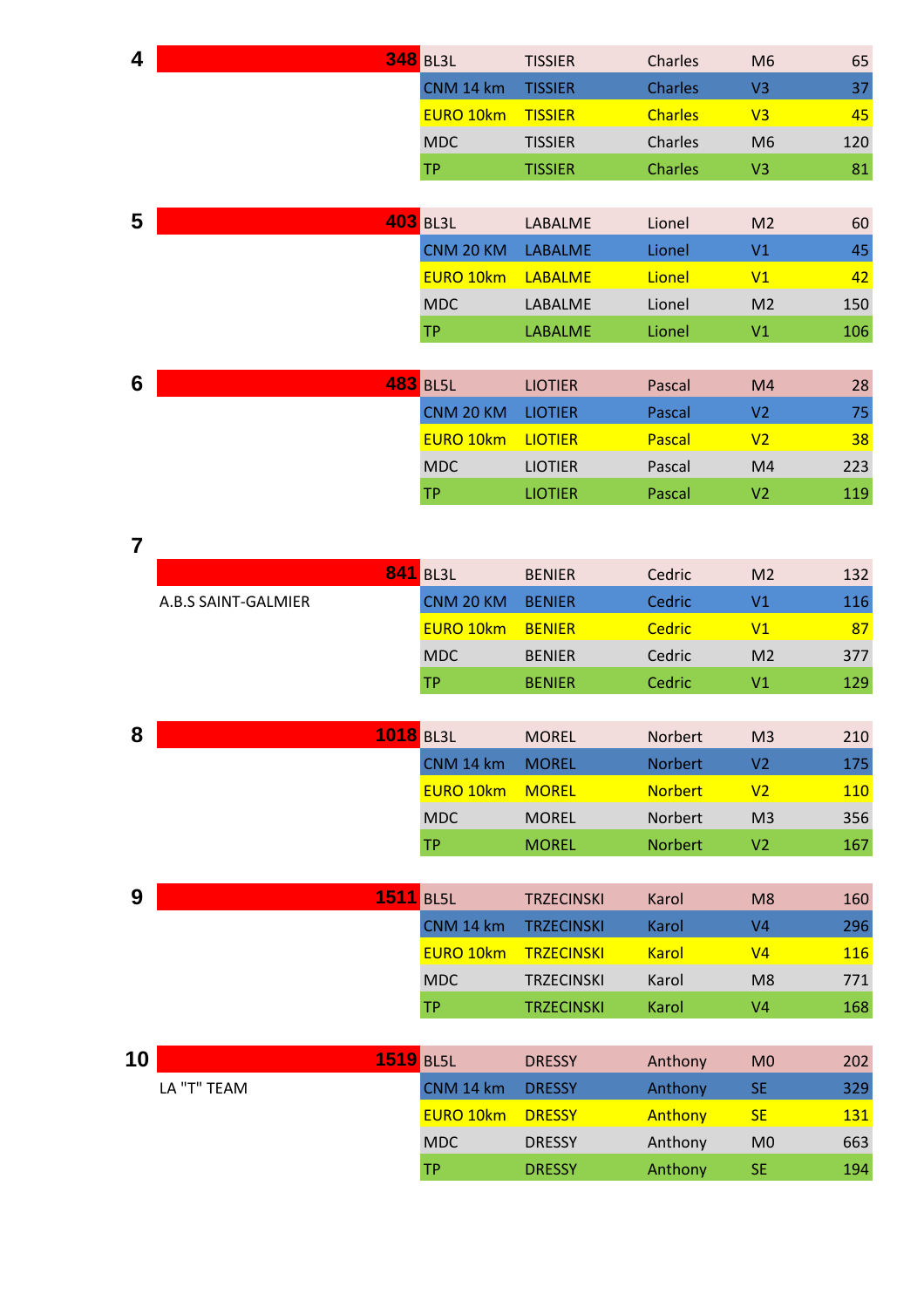| 4                       |                     | <b>348</b> BL3L  | <b>TISSIER</b>    | Charles        | M <sub>6</sub> | 65         |
|-------------------------|---------------------|------------------|-------------------|----------------|----------------|------------|
|                         |                     | CNM 14 km        | <b>TISSIER</b>    | <b>Charles</b> | V <sub>3</sub> | 37         |
|                         |                     | <b>EURO 10km</b> | <b>TISSIER</b>    | <b>Charles</b> | V <sub>3</sub> | 45         |
|                         |                     | <b>MDC</b>       | <b>TISSIER</b>    | Charles        | M <sub>6</sub> | 120        |
|                         |                     | TP.              | <b>TISSIER</b>    | <b>Charles</b> | V <sub>3</sub> | 81         |
|                         |                     |                  |                   |                |                |            |
| 5                       |                     | <b>403 BL3L</b>  | LABALME           | Lionel         | M <sub>2</sub> | 60         |
|                         |                     | CNM 20 KM        | <b>LABALME</b>    | Lionel         | V1             | 45         |
|                         |                     | <b>EURO 10km</b> | <b>LABALME</b>    | Lionel         | V1             | 42         |
|                         |                     | <b>MDC</b>       | LABALME           | Lionel         | M <sub>2</sub> | 150        |
|                         |                     | <b>TP</b>        | <b>LABALME</b>    | Lionel         | V1             | 106        |
|                         |                     |                  |                   |                |                |            |
| 6                       |                     | <b>483 BL5L</b>  | <b>LIOTIER</b>    | Pascal         | M4             | 28         |
|                         |                     | CNM 20 KM        | <b>LIOTIER</b>    | Pascal         | V <sub>2</sub> | 75         |
|                         |                     | <b>EURO 10km</b> | <b>LIOTIER</b>    | Pascal         | V <sub>2</sub> | 38         |
|                         |                     | <b>MDC</b>       | <b>LIOTIER</b>    | Pascal         | M4             | 223        |
|                         |                     | <b>TP</b>        | <b>LIOTIER</b>    | Pascal         | V <sub>2</sub> | 119        |
|                         |                     |                  |                   |                |                |            |
| $\overline{\mathbf{7}}$ |                     |                  |                   |                |                |            |
|                         |                     | <b>841 BL3L</b>  | <b>BENIER</b>     | Cedric         | M <sub>2</sub> | 132        |
|                         | A.B.S SAINT-GALMIER | CNM 20 KM        | <b>BENIER</b>     | Cedric         | V1             | 116        |
|                         |                     | <b>EURO 10km</b> | <b>BENIER</b>     | Cedric         | V1             | 87         |
|                         |                     | <b>MDC</b>       | <b>BENIER</b>     | Cedric         | M <sub>2</sub> | 377        |
|                         |                     | <b>TP</b>        | <b>BENIER</b>     | Cedric         | V1             | 129        |
|                         |                     |                  |                   |                |                |            |
| 8                       | 1018 BL3L           |                  | <b>MOREL</b>      | Norbert        | M <sub>3</sub> | 210        |
|                         |                     | CNM 14 km        | <b>MOREL</b>      | Norbert        | V <sub>2</sub> | 175        |
|                         |                     | EURO 10km        | <b>MOREL</b>      | <b>Norbert</b> | V <sub>2</sub> | <b>110</b> |
|                         |                     | <b>MDC</b>       | <b>MOREL</b>      | Norbert        | M <sub>3</sub> | 356        |
|                         |                     | <b>TP</b>        | <b>MOREL</b>      | Norbert        | V <sub>2</sub> | 167        |
|                         |                     |                  |                   |                |                |            |
| 9                       | <b>1511</b> BL5L    |                  | <b>TRZECINSKI</b> | Karol          | M8             | 160        |
|                         |                     | CNM 14 km        | <b>TRZECINSKI</b> | Karol          | V <sub>4</sub> | 296        |
|                         |                     | <b>EURO 10km</b> | <b>TRZECINSKI</b> | <b>Karol</b>   | V <sub>4</sub> | <b>116</b> |
|                         |                     | <b>MDC</b>       | <b>TRZECINSKI</b> | Karol          | M <sub>8</sub> | 771        |
|                         |                     | <b>TP</b>        | <b>TRZECINSKI</b> | Karol          | V <sub>4</sub> | 168        |
|                         |                     |                  |                   |                |                |            |
| 10                      | <b>1519 BL5L</b>    |                  | <b>DRESSY</b>     | Anthony        | M <sub>0</sub> | 202        |
|                         | LA "T" TEAM         | CNM 14 km        | <b>DRESSY</b>     | Anthony        | <b>SE</b>      | 329        |
|                         |                     | <b>EURO 10km</b> | <b>DRESSY</b>     | Anthony        | <b>SE</b>      | <b>131</b> |
|                         |                     | <b>MDC</b>       | <b>DRESSY</b>     | Anthony        | M <sub>0</sub> | 663        |
|                         |                     | <b>TP</b>        | <b>DRESSY</b>     | Anthony        | <b>SE</b>      | 194        |